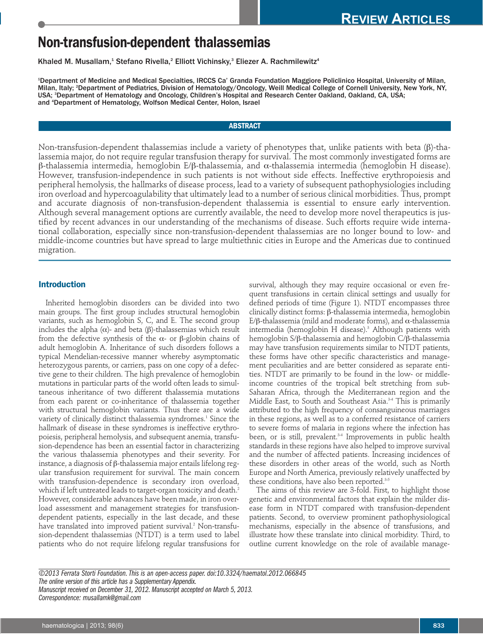# **Non-transfusion-dependent thalassemias**

Khaled M. Musallam,<sup>1</sup> Stefano Rivella,<sup>2</sup> Elliott Vichinsky,<sup>3</sup> Eliezer A. Rachmilewitz<sup>4</sup>

1 Department of Medicine and Medical Specialties, IRCCS Ca' Granda Foundation Maggiore Policlinico Hospital, University of Milan, Milan, Italy; 2 Department of Pediatrics, Division of Hematology/Oncology, Weill Medical College of Cornell University, New York, NY, USA; 3 Department of Hematology and Oncology, Children's Hospital and Research Center Oakland, Oakland, CA, USA; and 4 Department of Hematology, Wolfson Medical Center, Holon, Israel

## **ABSTRACT**

Non-transfusion-dependent thalassemias include a variety of phenotypes that, unlike patients with beta (β)-thalassemia major, do not require regular transfusion therapy for survival. The most commonly investigated forms are β-thalassemia intermedia, hemoglobin E/β-thalassemia, and a-thalassemia intermedia (hemoglobin H disease). However, transfusion-independence in such patients is not without side effects. Ineffective erythropoiesis and peripheral hemolysis, the hallmarks of disease process, lead to a variety of subsequent pathophysiologies including iron overload and hypercoagulability that ultimately lead to a number of serious clinical morbidities. Thus, prompt and accurate diagnosis of non-transfusion-dependent thalassemia is essential to ensure early intervention. Although several management options are currently available, the need to develop more novel therapeutics is justified by recent advances in our understanding of the mechanisms of disease. Such efforts require wide international collaboration, especially since non-transfusion-dependent thalassemias are no longer bound to low- and middle-income countries but have spread to large multiethnic cities in Europe and the Americas due to continued migration.

## **Introduction**

Inherited hemoglobin disorders can be divided into two main groups. The first group includes structural hemoglobin variants, such as hemoglobin S, C, and E. The second group includes the alpha (a)- and beta (β)-thalassemias which result from the defective synthesis of the a- or β-globin chains of adult hemoglobin A. Inheritance of such disorders follows a typical Mendelian-recessive manner whereby asymptomatic heterozygous parents, or carriers, pass on one copy of a defective gene to their children. The high prevalence of hemoglobin mutations in particular parts of the world often leads to simultaneous inheritance of two different thalassemia mutations from each parent or co-inheritance of thalassemia together with structural hemoglobin variants. Thus there are a wide variety of clinically distinct thalassemia syndromes.<sup>1</sup> Since the hallmark of disease in these syndromes is ineffective erythropoiesis, peripheral hemolysis, and subsequent anemia, transfusion-dependence has been an essential factor in characterizing the various thalassemia phenotypes and their severity. For instance, a diagnosis of β-thalassemia major entails lifelong regular transfusion requirement for survival. The main concern with transfusion-dependence is secondary iron overload, which if left untreated leads to target-organ toxicity and death.<sup>2</sup> However, considerable advances have been made, in iron overload assessment and management strategies for transfusiondependent patients, especially in the last decade, and these have translated into improved patient survival.<sup>2</sup> Non-transfusion-dependent thalassemias (NTDT) is a term used to label patients who do not require lifelong regular transfusions for

survival, although they may require occasional or even frequent transfusions in certain clinical settings and usually for defined periods of time (Figure 1). NTDT encompasses three clinically distinct forms: β-thalassemia intermedia, hemoglobin E/β-thalassemia (mild and moderate forms), and a-thalassemia intermedia (hemoglobin H disease).<sup>3</sup> Although patients with hemoglobin S/β-thalassemia and hemoglobin C/β-thalassemia may have transfusion requirements similar to NTDT patients, these forms have other specific characteristics and management peculiarities and are better considered as separate entities. NTDT are primarily to be found in the low- or middleincome countries of the tropical belt stretching from sub-Saharan Africa, through the Mediterranean region and the Middle East, to South and Southeast Asia.<sup>34</sup> This is primarily attributed to the high frequency of consanguineous marriages in these regions, as well as to a conferred resistance of carriers to severe forms of malaria in regions where the infection has been, or is still, prevalent.<sup>3-4</sup> Improvements in public health standards in these regions have also helped to improve survival and the number of affected patients. Increasing incidences of these disorders in other areas of the world, such as North Europe and North America, previously relatively unaffected by these conditions, have also been reported.<sup>3-5</sup>

The aims of this review are 3-fold. First, to highlight those genetic and environmental factors that explain the milder disease form in NTDT compared with transfusion-dependent patients. Second, to overview prominent pathophysiological mechanisms, especially in the absence of transfusions, and illustrate how these translate into clinical morbidity. Third, to outline current knowledge on the role of available manage-

*©2013 Ferrata Storti Foundation. This is an open-access paper. doi:10.3324/haematol.2012.066845 The online version of this article has a Supplementary Appendix. Manuscript received on December 31, 2012. Manuscript accepted on March 5, 2013. Correspondence: musallamk@gmail.com*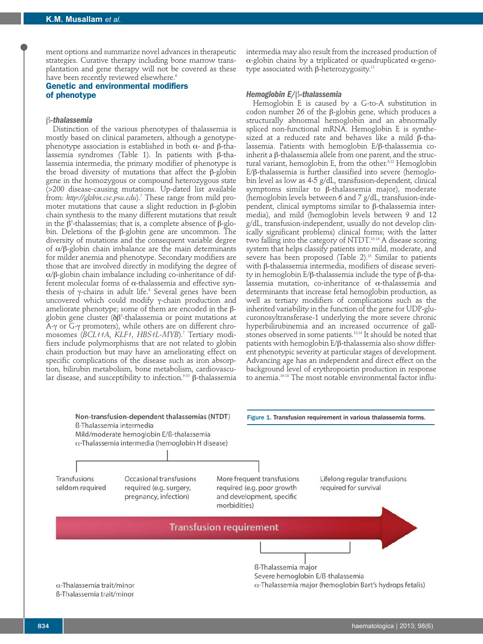ment options and summarize novel advances in therapeutic strategies. Curative therapy including bone marrow transplantation and gene therapy will not be covered as these have been recently reviewed elsewhere.<sup>6</sup>

# **Genetic and environmental modifiers of phenotype**

## β*-thalassemia*

Distinction of the various phenotypes of thalassemia is mostly based on clinical parameters, although a genotypephenotype association is established in both  $\alpha$ - and β-thalassemia syndromes (Table 1). In patients with β-thalassemia intermedia, the primary modifier of phenotype is the broad diversity of mutations that affect the β-globin gene in the homozygous or compound heterozygous state (>200 disease-causing mutations. Up-dated list available from: *http://globin.cse.psu.edu*).7 These range from mild promoter mutations that cause a slight reduction in β-globin chain synthesis to the many different mutations that result in the  $β^{\mathrm{o}}$ -thalassemias; that is, a complete absence of β-globin. Deletions of the β-globin gene are uncommon. The diversity of mutations and the consequent variable degree of a/β-globin chain imbalance are the main determinants for milder anemia and phenotype. Secondary modifiers are those that are involved directly in modifying the degree of a/β-globin chain imbalance including co-inheritance of different molecular forms of  $\alpha$ -thalassemia and effective synthesis of γ-chains in adult life.<sup>8</sup> Several genes have been uncovered which could modify γ-chain production and ameliorate phenotype; some of them are encoded in the βglobin gene cluster (δβº-thalassemia or point mutations at A-γ or G-γ promoters), while others are on different chromosomes (*BCL11A*, *KLF1*, *HBS1L-MYB*).7 Tertiary modifiers include polymorphisms that are not related to globin chain production but may have an ameliorating effect on specific complications of the disease such as iron absorption, bilirubin metabolism, bone metabolism, cardiovascular disease, and susceptibility to infection.<sup>9-10</sup> β-thalassemia

intermedia may also result from the increased production of  $\alpha$ -globin chains by a triplicated or quadruplicated  $\alpha$ -genotype associated with β-heterozygosity.<sup>11</sup>

#### *Hemoglobin E/*β*-thalassemia*

Hemoglobin E is caused by a G-to-A substitution in codon number 26 of the β-globin gene, which produces a structurally abnormal hemoglobin and an abnormally spliced non-functional mRNA. Hemoglobin E is synthesized at a reduced rate and behaves like a mild β-thalassemia. Patients with hemoglobin E/β-thalassemia coinherit a β-thalassemia allele from one parent, and the structural variant, hemoglobin E, from the other.<sup>8,12</sup> Hemoglobin E/β-thalassemia is further classified into severe (hemoglobin level as low as 4-5 g/dL, transfusion-dependent, clinical symptoms similar to β-thalassemia major), moderate (hemoglobin levels between 6 and 7 g/dL, transfusion-independent, clinical symptoms similar to β-thalassemia intermedia), and mild (hemoglobin levels between 9 and 12 g/dL, transfusion-independent, usually do not develop clinically significant problems) clinical forms; with the latter two falling into the category of NTDT.13-14 A disease scoring system that helps classify patients into mild, moderate, and severe has been proposed (Table 2).<sup>15</sup> Similar to patients with β-thalassemia intermedia, modifiers of disease severity in hemoglobin E/β-thalassemia include the type of β-thalassemia mutation, co-inheritance of a-thalassemia and determinants that increase fetal hemoglobin production, as well as tertiary modifiers of complications such as the inherited variability in the function of the gene for UDP-glucuronosyltransferase-1 underlying the more severe chronic hyperbilirubinemia and an increased occurrence of gallstones observed in some patients.<sup>13,14</sup> It should be noted that patients with hemoglobin E/β-thalassemia also show different phenotypic severity at particular stages of development. Advancing age has an independent and direct effect on the background level of erythropoietin production in response to anemia.16-18 The most notable environmental factor influ-

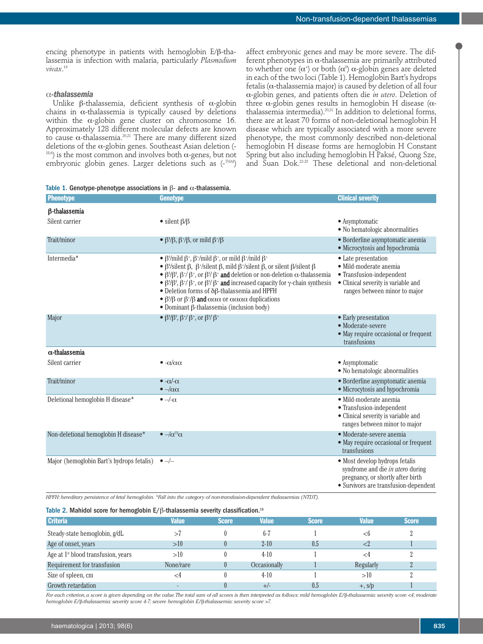affect embryonic genes and may be more severe. The different phenotypes in  $\alpha$ -thalassemia are primarily attributed to whether one ( $\alpha^{\scriptscriptstyle +}$ ) or both ( $\alpha^{\scriptscriptstyle 0}$ )  $\alpha$ -globin genes are deleted in each of the two loci (Table 1). Hemoglobin Bart's hydrops fetalis ( $\alpha$ -thalassemia major) is caused by deletion of all four a-globin genes, and patients often die *in utero*. Deletion of three  $\alpha$ -globin genes results in hemoglobin H disease ( $\alpha$ thalassemia intermedia).20,21 In addition to deletional forms, there are at least 70 forms of non-deletional hemoglobin H disease which are typically associated with a more severe phenotype, the most commonly described non-deletional hemoglobin H disease forms are hemoglobin H Constant Spring but also including hemoglobin H Paksé, Quong Sze, and Suan Dok.22-25 These deletional and non-deletional

encing phenotype in patients with hemoglobin E/β-thalassemia is infection with malaria, particularly *Plasmodium vivax*. 19

#### a*-thalassemia*

Unlike  $\beta$ -thalassemia, deficient synthesis of  $\alpha$ -globin chains in  $\alpha$ -thalassemia is typically caused by deletions within the  $\alpha$ -globin gene cluster on chromosome 16. Approximately 128 different molecular defects are known to cause  $\alpha$ -thalassemia.<sup>20,21</sup> There are many different sized deletions of the  $\alpha$ -globin genes. Southeast Asian deletion (- $\mathsf{SE}$ A) is the most common and involves both  $\alpha$ -genes, but not embryonic globin genes. Larger deletions such as (-THAI)

|  |  |  |  |  |  |  |  | Table 1. Genotype-phenotype associations in $\beta$ - and $\alpha$ -thalassemia. |
|--|--|--|--|--|--|--|--|----------------------------------------------------------------------------------|
|--|--|--|--|--|--|--|--|----------------------------------------------------------------------------------|

| <b>Phenotype</b>                          | <b>Genotype</b>                                                                                                                                                                                                                                                                                                                                                                                                                                                                                                                                                                                                                                                                                                                                                          | <b>Clinical severity</b>                                                                                                                                |
|-------------------------------------------|--------------------------------------------------------------------------------------------------------------------------------------------------------------------------------------------------------------------------------------------------------------------------------------------------------------------------------------------------------------------------------------------------------------------------------------------------------------------------------------------------------------------------------------------------------------------------------------------------------------------------------------------------------------------------------------------------------------------------------------------------------------------------|---------------------------------------------------------------------------------------------------------------------------------------------------------|
| <b>B-thalassemia</b>                      |                                                                                                                                                                                                                                                                                                                                                                                                                                                                                                                                                                                                                                                                                                                                                                          |                                                                                                                                                         |
| Silent carrier                            | • silent $\beta/\beta$                                                                                                                                                                                                                                                                                                                                                                                                                                                                                                                                                                                                                                                                                                                                                   | • Asymptomatic<br>• No hematologic abnormalities                                                                                                        |
| Trait/minor                               | • $\beta$ '/ $\beta$ , $\beta$ <sup>+</sup> / $\beta$ , or mild $\beta$ <sup>+</sup> / $\beta$                                                                                                                                                                                                                                                                                                                                                                                                                                                                                                                                                                                                                                                                           | • Borderline asymptomatic anemia<br>· Microcytosis and hypochromia                                                                                      |
| Intermedia*                               | • $\beta^{\circ}/$ mild $\beta^{\circ}$ , $\beta^{\circ}/$ mild $\beta^{\circ}$ , or mild $\beta^{\circ}/$ mild $\beta^{\circ}$<br>• $\beta$ %ilent $\beta$ , $\beta$ */silent $\beta$ , mild $\beta$ */silent $\beta$ , or silent $\beta$ /silent $\beta$<br>• $\beta^{0}/\beta^{0}$ , $\beta^{+}/\beta^{+}$ , or $\beta^{0}/\beta^{+}$ and deletion or non-deletion $\alpha$ -thalassemia<br>• $\beta^0/\beta^0$ , $\beta^+/\beta^+$ , or $\beta^0/\beta^+$ and increased capacity for $\gamma$ -chain synthesis<br>$\bullet$ Deletion forms of $\delta\beta$ -thalassemia and HPFH<br>• β <sup>0</sup> /β or β <sup>+</sup> /β <b>and</b> $\alpha\alpha\alpha$ or $\alpha\alpha\alpha\alpha$ duplications<br>$\bullet$ Dominant $\beta$ -thalassemia (inclusion body) | • Late presentation<br>· Mild-moderate anemia<br>• Transfusion-independent<br>• Clinical severity is variable and<br>ranges between minor to major      |
| Major                                     | • $\beta$ <sup>0</sup> / $\beta$ <sup>0</sup> , $\beta$ <sup>+</sup> / $\beta$ <sup>+</sup> , or $\beta$ <sup>0</sup> / $\beta$ <sup>+</sup>                                                                                                                                                                                                                                                                                                                                                                                                                                                                                                                                                                                                                             | • Early presentation<br>· Moderate-severe<br>• May require occasional or frequent<br>transfusions                                                       |
| $\alpha$ -thalassemia                     |                                                                                                                                                                                                                                                                                                                                                                                                                                                                                                                                                                                                                                                                                                                                                                          |                                                                                                                                                         |
| Silent carrier                            | $\bullet$ - $\alpha/\alpha\alpha$                                                                                                                                                                                                                                                                                                                                                                                                                                                                                                                                                                                                                                                                                                                                        | • Asymptomatic<br>• No hematologic abnormalities                                                                                                        |
| Trait/minor                               | $\bullet$ - $\alpha$ /- $\alpha$<br>$\bullet -/\alpha\alpha$                                                                                                                                                                                                                                                                                                                                                                                                                                                                                                                                                                                                                                                                                                             | • Borderline asymptomatic anemia<br>· Microcytosis and hypochromia                                                                                      |
| Deletional hemoglobin H disease*          | $\bullet -\frac{1}{2}\alpha$                                                                                                                                                                                                                                                                                                                                                                                                                                                                                                                                                                                                                                                                                                                                             | · Mild-moderate anemia<br>• Transfusion-independent<br>• Clinical severity is variable and<br>ranges between minor to major                             |
| Non-deletional hemoglobin H disease*      | $\bullet -\alpha^{\circledcirc}\alpha$                                                                                                                                                                                                                                                                                                                                                                                                                                                                                                                                                                                                                                                                                                                                   | • Moderate-severe anemia<br>• May require occasional or frequent<br>transfusions                                                                        |
| Major (hemoglobin Bart's hydrops fetalis) | $\bullet$ --/--                                                                                                                                                                                                                                                                                                                                                                                                                                                                                                                                                                                                                                                                                                                                                          | • Most develop hydrops fetalis<br>syndrome and die <i>in utero</i> during<br>pregnancy, or shortly after birth<br>• Survivors are transfusion-dependent |

*HPFH: hereditary persistence of fetal hemoglobin. \*Fall into the category of non-transfusion-dependent thalassemias (NTDT).*

#### Table 2. Mahidol score for hemoglobin E/β-thalassemia severity classification.<sup>15</sup>

| <b>Criteria</b>                                 | <b>Value</b>             | <b>Score</b> | <b>Value</b> | <b>Score</b> | <b>Value</b> | <b>Score</b> |
|-------------------------------------------------|--------------------------|--------------|--------------|--------------|--------------|--------------|
| Steady-state hemoglobin, g/dL                   |                          |              | $6 - 7$      |              | ⊂. ()        |              |
| Age of onset, years                             | >10                      |              | $2 - 10$     | $0.5\,$      |              |              |
| Age at 1 <sup>st</sup> blood transfusion, years | >10                      |              | $4-10$       |              |              |              |
| Requirement for transfusion                     | None/rare                |              | Occasionally |              | Regularly    |              |
| Size of spleen, cm                              |                          |              | $4-10$       |              | >10          |              |
| Growth retardation                              | $\overline{\phantom{a}}$ |              | $+/-$        | 0.5          | $+, s/p$     |              |

*For each criterion, a score is given depending on the value. The total sum of all scores is then interpreted as follows: mild hemoglobin E/*β*-thalassemia: severity score <4; moderate hemoglobin E/*β*-thalassemia: severity score 4-7; severe hemoglobin E/*β*-thalassemia: severity score >7.*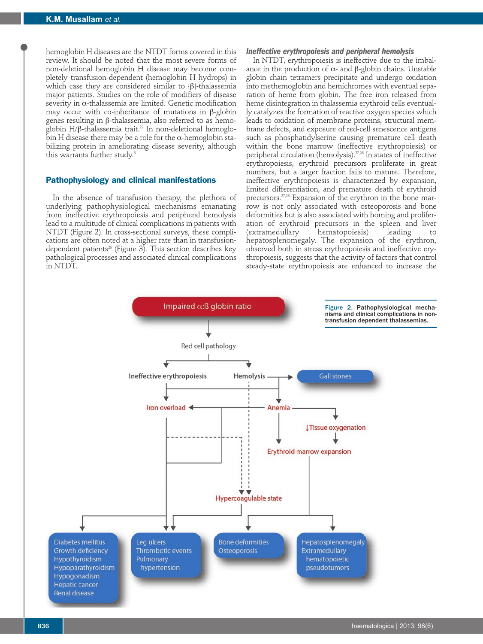hemoglobin H diseases are the NTDT forms covered in this review. It should be noted that the most severe forms of non-deletional hemoglobin H disease may become completely transfusion-dependent (hemoglobin H hydrops) in which case they are considered similar to  ${β}$ -thalassemia major patients. Studies on the role of modifiers of disease severity in  $\alpha$ -thalassemia are limited. Genetic modification may occur with co-inheritance of mutations in β-globin genes resulting in β-thalassemia, also referred to as hemoglobin H/β-thalassemia trait.<sup>22</sup> In non-deletional hemoglobin H disease there may be a role for the  $\alpha$ -hemoglobin stabilizing protein in ameliorating disease severity, although this warrants further study.<sup>8</sup>

#### **Pathophysiology and clinical manifestations**

In the absence of transfusion therapy, the plethora of underlying pathophysiological mechanisms emanating from ineffective erythropoiesis and peripheral hemolysis lead to a multitude of clinical complications in patients with NTDT (Figure 2). In cross-sectional surveys, these complications are often noted at a higher rate than in transfusiondependent patients<sup>26</sup> (Figure 3). This section describes key pathological processes and associated clinical complications in NTDT.

## *Ineffective erythropoiesis and peripheral hemolysis*

In NTDT, erythropoiesis is ineffective due to the imbalance in the production of  $\alpha$ - and β-globin chains. Unstable globin chain tetramers precipitate and undergo oxidation into methemoglobin and hemichromes with eventual separation of heme from globin. The free iron released from heme disintegration in thalassemia erythroid cells eventually catalyzes the formation of reactive oxygen species which leads to oxidation of membrane proteins, structural membrane defects, and exposure of red-cell senescence antigens such as phosphatidylserine causing premature cell death within the bone marrow (ineffective erythropoiesis) or peripheral circulation (hemolysis).<sup>27,28</sup> In states of ineffective erythropoiesis, erythroid precursors proliferate in great numbers, but a larger fraction fails to mature. Therefore, ineffective erythropoiesis is characterized by expansion, limited differentiation, and premature death of erythroid precursors.<sup>27,28</sup> Expansion of the erythron in the bone marrow is not only associated with osteoporosis and bone deformities but is also associated with homing and proliferation of erythroid precursors in the spleen and liver hematopoiesis) leading hepatosplenomegaly. The expansion of the erythron, observed both in stress erythropoiesis and ineffective erythropoiesis, suggests that the activity of factors that control steady-state erythropoiesis are enhanced to increase the

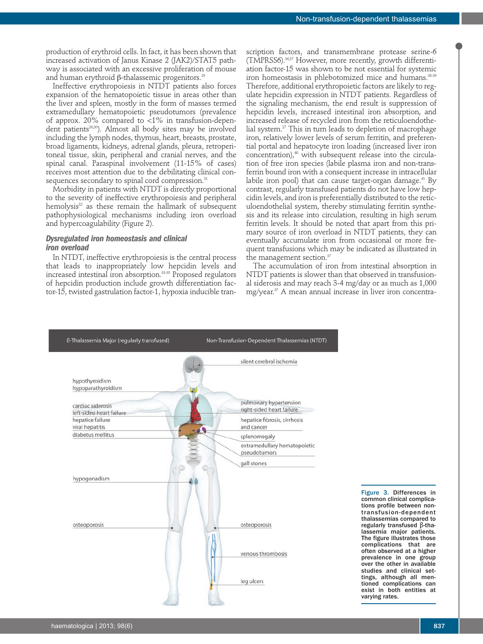production of erythroid cells. In fact, it has been shown that increased activation of Janus Kinase 2 (JAK2)/STAT5 pathway is associated with an excessive proliferation of mouse and human erythroid β-thalassemic progenitors.<sup>29</sup>

Ineffective erythropoiesis in NTDT patients also forces expansion of the hematopoietic tissue in areas other than the liver and spleen, mostly in the form of masses termed extramedullary hematopoietic pseudotumors (prevalence of approx. 20% compared to <1% in transfusion-dependent patients<sup>26,30</sup>). Almost all body sites may be involved including the lymph nodes, thymus, heart, breasts, prostate, broad ligaments, kidneys, adrenal glands, pleura, retroperitoneal tissue, skin, peripheral and cranial nerves, and the spinal canal. Paraspinal involvement (11-15% of cases) receives most attention due to the debilitating clinical consequences secondary to spinal cord compression.<sup>31</sup>

Morbidity in patients with NTDT is directly proportional to the severity of ineffective erythropoiesis and peripheral hemolysis<sup>32</sup> as these remain the hallmark of subsequent pathophysiological mechanisms including iron overload and hypercoagulability (Figure 2).

## *Dysregulated iron homeostasis and clinical iron overload*

In NTDT, ineffective erythropoiesis is the central process that leads to inappropriately low hepcidin levels and increased intestinal iron absorption.33-35 Proposed regulators of hepcidin production include growth differentiation factor-15, twisted gastrulation factor-1, hypoxia inducible transcription factors, and transmembrane protease serine-6 (TMPRSS6).36,37 However, more recently, growth differentiation factor-15 was shown to be not essential for systemic iron homeostasis in phlebotomized mice and humans.<sup>38</sup> Therefore, additional erythropoietic factors are likely to regulate hepcidin expression in NTDT patients. Regardless of the signaling mechanism, the end result is suppression of hepcidin levels, increased intestinal iron absorption, and increased release of recycled iron from the reticuloendothelial system.<sup>27</sup> This in turn leads to depletion of macrophage iron, relatively lower levels of serum ferritin, and preferential portal and hepatocyte iron loading (increased liver iron concentration),<sup>40</sup> with subsequent release into the circulation of free iron species (labile plasma iron and non-transferrin bound iron with a consequent increase in intracellular labile iron pool) that can cause target-organ damage.<sup>41</sup> By contrast, regularly transfused patients do not have low hepcidin levels, and iron is preferentially distributed to the reticuloendothelial system, thereby stimulating ferritin synthesis and its release into circulation, resulting in high serum ferritin levels. It should be noted that apart from this primary source of iron overload in NTDT patients, they can eventually accumulate iron from occasional or more frequent transfusions which may be indicated as illustrated in the management section.<sup>37</sup>

The accumulation of iron from intestinal absorption in NTDT patients is slower than that observed in transfusional siderosis and may reach 3-4 mg/day or as much as 1,000 mg/year.<sup>37</sup> A mean annual increase in liver iron concentra-



Figure 3. Differences in common clinical complications profile between nontransfusion-dependent thalassemias compared to regularly transfused β-thalassemia major patients. The figure illustrates those complications that are often observed at a higher prevalence in one group over the other in available studies and clinical settings, although all mentioned complications can exist in both entities at varying rates.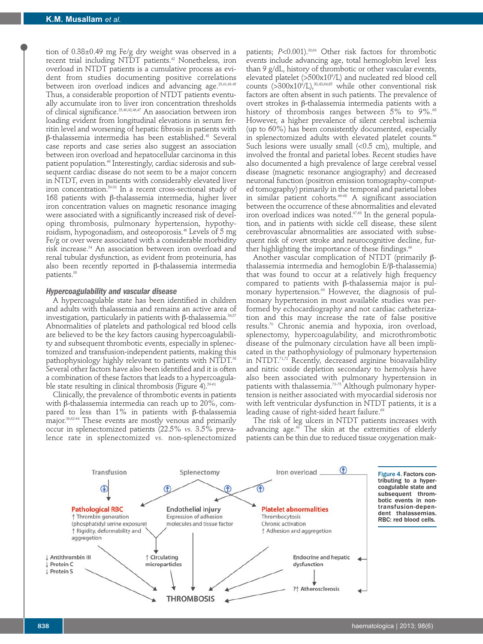tion of 0.38±0.49 mg Fe/g dry weight was observed in a recent trial including NTDT patients.<sup>42</sup> Nonetheless, iron overload in NTDT patients is a cumulative process as evident from studies documenting positive correlations between iron overload indices and advancing age.<sup>25,41,43-45</sup> Thus, a considerable proportion of NTDT patients eventually accumulate iron to liver iron concentration thresholds of clinical significance.<sup>25,40,42,46,47</sup> An association between iron loading evident from longitudinal elevations in serum ferritin level and worsening of hepatic fibrosis in patients with β-thalassemia intermedia has been established.48 Several case reports and case series also suggest an association between iron overload and hepatocellular carcinoma in this patient population.<sup>49</sup> Interestingly, cardiac siderosis and subsequent cardiac disease do not seem to be a major concern in NTDT, even in patients with considerably elevated liver iron concentration.50-53 In a recent cross-sectional study of 168 patients with β-thalassemia intermedia, higher liver iron concentration values on magnetic resonance imaging were associated with a significantly increased risk of developing thrombosis, pulmonary hypertension, hypothyroidism, hypogonadism, and osteoporosis.<sup>46</sup> Levels of 5 mg Fe/g or over were associated with a considerable morbidity risk increase.54 An association between iron overload and renal tubular dysfunction, as evident from proteinuria, has also been recently reported in β-thalassemia intermedia patients.<sup>55</sup>

#### *Hypercoagulability and vascular disease*

A hypercoagulable state has been identified in children and adults with thalassemia and remains an active area of investigation, particularly in patients with β-thalassemia.<sup>56,57</sup> Abnormalities of platelets and pathological red blood cells are believed to be the key factors causing hypercoagulability and subsequent thrombotic events, especially in splenectomized and transfusion-independent patients, making this pathophysiology highly relevant to patients with NTDT.<sup>58</sup> Several other factors have also been identified and it is often a combination of these factors that leads to a hypercoagulable state resulting in clinical thrombosis (Figure 4).<sup>59-61</sup>

Clinically, the prevalence of thrombotic events in patients with β-thalassemia intermedia can reach up to 20%, compared to less than 1% in patients with β-thalassemia major.<sup>30,62-64</sup> These events are mostly venous and primarily occur in splenectomized patients (22.5% *vs.* 3.5% prevalence rate in splenectomized *vs.* non-splenectomized

patients;  $P<0.001$ ).<sup>30,64</sup> Other risk factors for thrombotic events include advancing age, total hemoglobin level less than 9 g/dL, history of thrombotic or other vascular events, elevated platelet (>500x109 /L) and nucleated red blood cell counts  $(>300x10<sup>6</sup>/L),$ <sup>30,43,64,65</sup> while other conventional risk factors are often absent in such patients. The prevalence of overt strokes in β-thalassemia intermedia patients with a history of thrombosis ranges between  $5\%$  to  $9\%$ .<sup>66</sup> However, a higher prevalence of silent cerebral ischemia (up to 60%) has been consistently documented, especially in splenectomized adults with elevated platelet counts.<sup>66</sup> Such lesions were usually small (<0.5 cm), multiple, and involved the frontal and parietal lobes. Recent studies have also documented a high prevalence of large cerebral vessel disease (magnetic resonance angiography) and decreased neuronal function (positron emission tomography-computed tomography) primarily in the temporal and parietal lobes in similar patient cohorts.<sup>66-68</sup> A significant association between the occurrence of these abnormalities and elevated iron overload indices was noted. $\sigma$ ,68 In the general population, and in patients with sickle cell disease, these silent cerebrovascular abnormalities are associated with subsequent risk of overt stroke and neurocognitive decline, further highlighting the importance of these findings. $66$ 

Another vascular complication of NTDT (primarily βthalassemia intermedia and hemoglobin E/β-thalassemia) that was found to occur at a relatively high frequency compared to patients with β-thalassemia major is pulmonary hypertension.<sup>69</sup> However, the diagnosis of pulmonary hypertension in most available studies was performed by echocardiography and not cardiac catheterization and this may increase the rate of false positive results.70 Chronic anemia and hypoxia, iron overload, splenectomy, hypercoagulability, and microthrombotic disease of the pulmonary circulation have all been implicated in the pathophysiology of pulmonary hypertension in NTDT.71,72 Recently, decreased arginine bioavailability and nitric oxide depletion secondary to hemolysis have also been associated with pulmonary hypertension in patients with thalassemia.<sup>73-75</sup> Although pulmonary hypertension is neither associated with myocardial siderosis nor with left ventricular dysfunction in NTDT patients, it is a leading cause of right-sided heart failure.<sup>69</sup>

The risk of leg ulcers in NTDT patients increases with advancing age.<sup>43</sup> The skin at the extremities of elderly patients can be thin due to reduced tissue oxygenation mak-

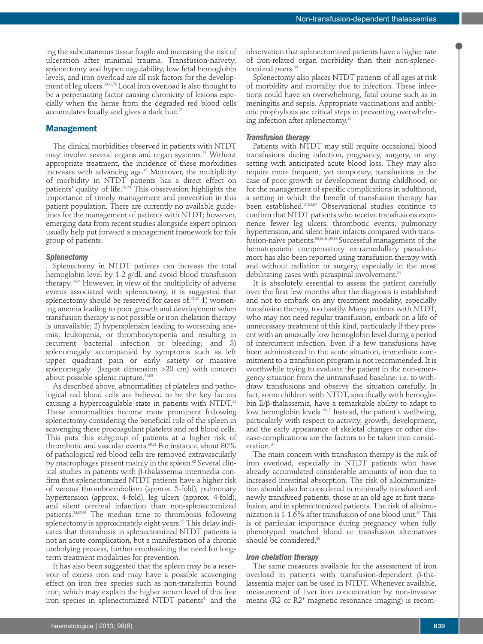ing the subcutaneous tissue fragile and increasing the risk of ulceration after minimal trauma. Transfusion-naïvety, splenectomy and hypercoagulability, low fetal hemoglobin levels, and iron overload are all risk factors for the development of leg ulcers.30,46,76 Local iron overload is also thought to be a perpetuating factor causing chronicity of lesions especially when the heme from the degraded red blood cells accumulates locally and gives a dark hue.<sup>77</sup>

## **Management**

The clinical morbidities observed in patients with NTDT may involve several organs and organ systems.<sup>71</sup> Without appropriate treatment, the incidence of these morbidities increases with advancing age.<sup>43</sup> Moreover, the multiplicity of morbidity in NTDT patients has a direct effect on patients' quality of life.<sup>7879</sup> This observation highlights the importance of timely management and prevention in this patient population. There are currently no available guidelines for the management of patients with NTDT; however, emerging data from recent studies alongside expert opinion usually help put forward a management framework for this group of patients.

#### *Splenectomy*

Splenectomy in NTDT patients can increase the total hemoglobin level by 1-2 g/dL and avoid blood transfusion therapy.14,24 However, in view of the multiplicity of adverse events associated with splenectomy, it is suggested that splenectomy should be reserved for cases of: $71,80$  1) worsening anemia leading to poor growth and development when transfusion therapy is not possible or iron chelation therapy is unavailable; 2) hypersplensim leading to worsening anemia, leukopenia, or thrombocytopenia and resulting in recurrent bacterial infection or bleeding; and 3) splenomegaly accompanied by symptoms such as left upper quadrant pain or early satiety or massive splenomegaly (largest dimension >20 cm) with concern about possible splenic rupture.<sup>71,80</sup>

As described above, abnormalities of platelets and pathological red blood cells are believed to be the key factors causing a hypercoagulable state in patients with NTDT.<sup>58</sup> These abnormalities become more prominent following splenectomy considering the beneficial role of the spleen in scavenging these procoagulant platelets and red blood cells. This puts this subgroup of patients at a higher risk of thrombotic and vascular events.<sup>60,81</sup> For instance, about 80% of pathological red blood cells are removed extravascularly by macrophages present mainly in the spleen.<sup>82</sup> Several clinical studies in patients with β-thalassemia intermedia confirm that splenectomized NTDT patients have a higher risk of venous thromboembolism (approx. 5-fold), pulmonary hypertension (approx. 4-fold), leg ulcers (approx. 4-fold), and silent cerebral infarction than non-splenectomized patients.24,30,66 The median time to thrombosis following splenectomy is approximately eight years.<sup>65</sup> This delay indicates that thrombosis in splenectomized NTDT patients is not an acute complication, but a manifestation of a chronic underlying process, further emphasizing the need for longterm treatment modalities for prevention.

It has also been suggested that the spleen may be a reservoir of excess iron and may have a possible scavenging effect on iron free species such as non-transferrin bound iron, which may explain the higher serum level of this free iron species in splenectomized NTDT patients $41$  and the

Splenectomy also places NTDT patients of all ages at risk of morbidity and mortality due to infection. These infections could have an overwhelming, fatal course such as in meningitis and sepsis. Appropriate vaccinations and antibiotic prophylaxis are critical steps in preventing overwhelming infection after splenectomy.<sup>80</sup>

## *Transfusion therapy*

Patients with NTDT may still require occasional blood transfusions during infection, pregnancy, surgery, or any setting with anticipated acute blood loss. They may also require more frequent, yet temporary, transfusions in the case of poor growth or development during childhood, or for the management of specific complications in adulthood, a setting in which the benefit of transfusion therapy has been established.24,83,84 Observational studies continue to confirm that NTDT patients who receive transfusions experience fewer leg ulcers, thrombotic events, pulmonary hypertension, and silent brain infarcts compared with transfusion-naïve patients.<sup>30,64,80,85,86</sup> Successful management of the hematopoietic compensatory extramedullary pseudotumors has also been reported using transfusion therapy with and without radiation or surgery, especially in the most debilitating cases with paraspinal involvement.<sup>31</sup>

It is absolutely essential to assess the patient carefully over the first few months after the diagnosis is established and not to embark on any treatment modality, especially transfusion therapy, too hastily. Many patients with NTDT, who may not need regular transfusion, embark on a life of unnecessary treatment of this kind, particularly if they present with an unusually low hemoglobin level during a period of intercurrent infection. Even if a few transfusions have been administered in the acute situation, immediate commitment to a transfusion program is not recommended. It is worthwhile trying to evaluate the patient in the non-emergency situation from the untransfused baseline: i.e. to withdraw transfusions and observe the situation carefully. In fact, some children with NTDT, specifically with hemoglobin E/β-thalassemia, have a remarkable ability to adapt to low hemoglobin levels.16-17 Instead, the patient's wellbeing, particularly with respect to activity, growth, development, and the early appearance of skeletal changes or other disease-complications are the factors to be taken into consideration.<sup>80</sup>

The main concern with transfusion therapy is the risk of iron overload, especially in NTDT patients who have already accumulated considerable amounts of iron due to increased intestinal absorption. The risk of alloimmunization should also be considered in minimally transfused and newly transfused patients, those at an old age at first transfusion, and in splenectomized patients. The risk of alloimunization is 1-1.6% after transfusion of one blood unit.<sup>87</sup> This is of particular importance during pregnancy when fully phenotyped matched blood or transfusion alternatives should be considered.<sup>88</sup>

#### *Iron chelation therapy*

The same measures available for the assessment of iron overload in patients with transfusion-dependent β-thalassemia major can be used in NTDT. Whenever available, measurement of liver iron concentration by non-invasive means (R2 or R2\* magnetic resonance imaging) is recom-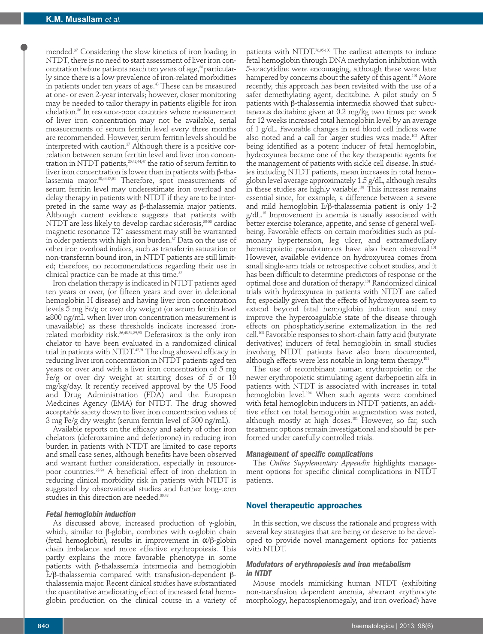mended.37 Considering the slow kinetics of iron loading in NTDT, there is no need to start assessment of liver iron concentration before patients reach ten years of age,<sup>36</sup> particularly since there is a low prevalence of iron-related morbidities in patients under ten years of age.<sup>43</sup> These can be measured at one- or even 2-year intervals; however, closer monitoring may be needed to tailor therapy in patients eligible for iron chelation.36 In resource-poor countries where measurement of liver iron concentration may not be available, serial measurements of serum ferritin level every three months are recommended. However, serum ferritin levels should be interpreted with caution.<sup>37</sup> Although there is a positive correlation between serum ferritin level and liver iron concentration in NTDT patients, 25,42,44,47 the ratio of serum ferritin to liver iron concentration is lower than in patients with β-thalassemia major.40,44,47,51 Therefore, spot measurements of serum ferritin level may underestimate iron overload and delay therapy in patients with NTDT if they are to be interpreted in the same way as β-thalassemia major patients. Although current evidence suggests that patients with NTDT are less likely to develop cardiac siderosis,<sup>50-53</sup> cardiac magnetic resonance T2\* assessment may still be warranted in older patients with high iron burden.<sup>37</sup> Data on the use of other iron overload indices, such as transferrin saturation or non-transferrin bound iron, in NTDT patients are still limited; therefore, no recommendations regarding their use in clinical practice can be made at this time.<sup>37</sup>

Iron chelation therapy is indicated in NTDT patients aged ten years or over, (or fifteen years and over in deletional hemoglobin H disease) and having liver iron concentration levels 5 mg Fe/g or over dry weight (or serum ferritin level ≥800 ng/mL when liver iron concentration measurement is unavailable) as these thresholds indicate increased ironrelated morbidity risk.<sup>36,43,54,89,90</sup> Deferasirox is the only iron chelator to have been evaluated in a randomized clinical trial in patients with NTDT.<sup>42,91</sup> The drug showed efficacy in reducing liver iron concentration in NTDT patients aged ten years or over and with a liver iron concentration of 5 mg Fe/g or over dry weight at starting doses of  $5$  or  $10$ mg/kg/day. It recently received approval by the US Food and Drug Administration (FDA) and the European Medicines Agency (EMA) for NTDT. The drug showed acceptable safety down to liver iron concentration values of 3 mg Fe/g dry weight (serum ferritin level of 300 ng/mL).

Available reports on the efficacy and safety of other iron chelators (deferoxamine and deferiprone) in reducing iron burden in patients with NTDT are limited to case reports and small case series, although benefits have been observed and warrant further consideration, especially in resourcepoor countries.92-94 A beneficial effect of iron chelation in reducing clinical morbidity risk in patients with NTDT is suggested by observational studies and further long-term studies in this direction are needed.<sup>30,48</sup>

#### *Fetal hemoglobin induction*

As discussed above, increased production of γ-globin, which, similar to β-globin, combines with  $α$ -globin chain (fetal hemoglobin), results in improvement in  $\alpha/\beta$ -globin chain imbalance and more effective erythropoiesis. This partly explains the more favorable phenotype in some patients with β-thalassemia intermedia and hemoglobin E/β-thalassemia compared with transfusion-dependent βthalassemia major. Recent clinical studies have substantiated the quantitative ameliorating effect of increased fetal hemoglobin production on the clinical course in a variety of

patients with NTDT.<sup>76,95-100</sup> The earliest attempts to induce fetal hemoglobin through DNA methylation inhibition with 5-azacytidine were encouraging, although these were later hampered by concerns about the safety of this agent.<sup>101</sup> More recently, this approach has been revisited with the use of a safer demethylating agent, decitabine. A pilot study on 5 patients with β-thalassemia intermedia showed that subcutaneous decitabine given at 0.2 mg/kg two times per week for 12 weeks increased total hemoglobin level by an average of 1 g/dL. Favorable changes in red blood cell indices were also noted and a call for larger studies was made.<sup>102</sup> After being identified as a potent inducer of fetal hemoglobin, hydroxyurea became one of the key therapeutic agents for the management of patients with sickle cell disease. In studies including NTDT patients, mean increases in total hemoglobin level average approximately 1.5 g/dL, although results in these studies are highly variable.<sup>101</sup> This increase remains essential since, for example, a difference between a severe and mild hemoglobin E/β-thalassemia patient is only 1-2 g/dL.15 Improvement in anemia is usually associated with better exercise tolerance, appetite, and sense of general wellbeing. Favorable effects on certain morbidities such as pulmonary hypertension, leg ulcer, and extramedullary hematopoietic pseudotumors have also been observed.<sup>10</sup> However, available evidence on hydroxyurea comes from small single-arm trials or retrospective cohort studies, and it has been difficult to determine predictors of response or the optimal dose and duration of therapy.101 Randomized clinical trials with hydroxyurea in patients with NTDT are called for, especially given that the effects of hydroxyurea seem to extend beyond fetal hemoglobin induction and may improve the hypercoagulable state of the disease through effects on phosphatidylserine externalization in the red cell.103 Favorable responses to short-chain fatty acid (butyrate derivatives) inducers of fetal hemoglobin in small studies involving NTDT patients have also been documented, although effects were less notable in long-term therapy.<sup>101</sup>

The use of recombinant human erythropoietin or the newer erythropoietic stimulating agent darbepoetin alfa in patients with NTDT is associated with increases in total hemoglobin level.104 When such agents were combined with fetal hemoglobin inducers in NTDT patients, an additive effect on total hemoglobin augmentation was noted, although mostly at high doses.<sup>101</sup> However, so far, such treatment options remain investigational and should be performed under carefully controlled trials.

#### *Management of specific complications*

The *Online Supplementary Appendix* highlights management options for specific clinical complications in NTDT patients.

#### **Novel therapeutic approaches**

In this section, we discuss the rationale and progress with several key strategies that are being or deserve to be developed to provide novel management options for patients with NTDT.

## *Modulators of erythropoiesis and iron metabolism in NTDT*

Mouse models mimicking human NTDT (exhibiting non-transfusion dependent anemia, aberrant erythrocyte morphology, hepatosplenomegaly, and iron overload) have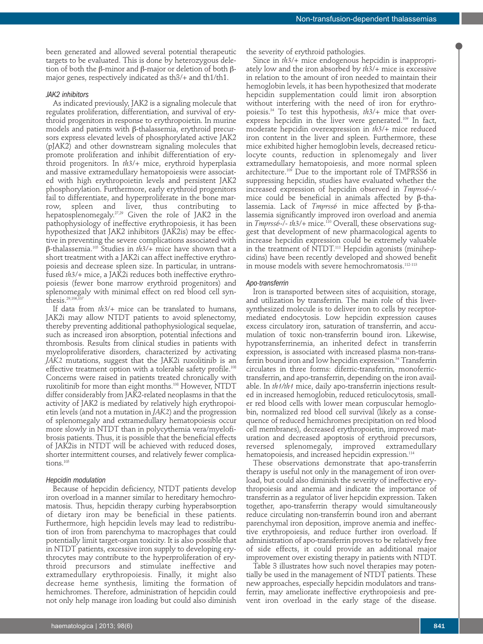been generated and allowed several potential therapeutic targets to be evaluated. This is done by heterozygous deletion of both the β-minor and β-major or deletion of both βmajor genes, respectively indicated as th3/+ and th1/th1.

#### *JAK2 inhibitors*

As indicated previously, JAK2 is a signaling molecule that regulates proliferation, differentiation, and survival of erythroid progenitors in response to erythropoietin. In murine models and patients with β-thalassemia, erythroid precursors express elevated levels of phosphorylated active JAK2 (pJAK2) and other downstream signaling molecules that promote proliferation and inhibit differentiation of erythroid progenitors. In *th3*/+ mice, erythroid hyperplasia and massive extramedullary hematopoiesis were associated with high erythropoietin levels and persistent JAK2 phosphorylation. Furthermore, early erythroid progenitors fail to differentiate, and hyperproliferate in the bone marrow, spleen and liver, thus contributing to hepatosplenomegaly.27,29 Given the role of JAK2 in the pathophysiology of ineffective erythropoiesis, it has been hypothesized that JAK2 inhibitors (JAK2is) may be effective in preventing the severe complications associated with β-thalassemia.105 Studies in *th3*/+ mice have shown that a short treatment with a JAK2i can affect ineffective erythropoiesis and decrease spleen size. In particular, in untransfused *th3*/+ mice, a JAK2i reduces both ineffective erythropoiesis (fewer bone marrow erythroid progenitors) and splenomegaly with minimal effect on red blood cell synthesis. $29,106,1$ 

If data from *th3*/+ mice can be translated to humans, JAK2i may allow NTDT patients to avoid splenectomy, thereby preventing additional pathophysiological sequelae, such as increased iron absorption, potential infections and thrombosis. Results from clinical studies in patients with myeloproliferative disorders, characterized by activating *JAK2* mutations, suggest that the JAK2i ruxolitinib is an effective treatment option with a tolerable safety profile.<sup>108</sup> Concerns were raised in patients treated chronically with ruxolitinib for more than eight months.108 However, NTDT differ considerably from JAK2-related neoplasms in that the activity of JAK2 is mediated by relatively high erythropoietin levels (and not a mutation in *JAK2*) and the progression of splenomegaly and extramedullary hematopoiesis occur more slowly in NTDT than in polycythemia vera/myelofibrosis patients. Thus, it is possible that the beneficial effects of JAK2is in NTDT will be achieved with reduced doses, shorter intermittent courses, and relatively fewer complications.105

#### *Hepcidin modulation*

Because of hepcidin deficiency, NTDT patients develop iron overload in a manner similar to hereditary hemochromatosis. Thus, hepcidin therapy curbing hyperabsorption of dietary iron may be beneficial in these patients. Furthermore, high hepcidin levels may lead to redistribution of iron from parenchyma to macrophages that could potentially limit target-organ toxicity. It is also possible that in NTDT patients, excessive iron supply to developing erythrocytes may contribute to the hyperproliferation of erythroid precursors and stimulate ineffective and extramedullary erythropoiesis. Finally, it might also decrease heme synthesis, limiting the formation of hemichromes. Therefore, administration of hepcidin could not only help manage iron loading but could also diminish

the severity of erythroid pathologies.

Since in *th3*/+ mice endogenous hepcidin is inappropriately low and the iron absorbed by *th3*/+ mice is excessive in relation to the amount of iron needed to maintain their hemoglobin levels, it has been hypothesized that moderate hepcidin supplementation could limit iron absorption without interfering with the need of iron for erythropoiesis.34 To test this hypothesis, *th3*/+ mice that overexpress hepcidin in the liver were generated.<sup>109</sup> In fact, moderate hepcidin overexpression in *th3*/+ mice reduced iron content in the liver and spleen. Furthermore, these mice exhibited higher hemoglobin levels, decreased reticulocyte counts, reduction in splenomegaly and liver extramedullary hematopoiesis, and more normal spleen architecture.<sup>109</sup> Due to the important role of TMPRSS6 in suppressing hepcidin, studies have evaluated whether the increased expression of hepcidin observed in *Tmprss6*-/ mice could be beneficial in animals affected by β-thalassemia. Lack of *Tmprss6* in mice affected by β-thalassemia significantly improved iron overload and anemia in *Tmprss6*-/- *th3*/+ mice.110 Overall, these observations suggest that development of new pharmacological agents to increase hepcidin expression could be extremely valuable in the treatment of NTDT.<sup>111</sup> Hepcidin agonists (minihepcidins) have been recently developed and showed benefit in mouse models with severe hemochromatosis.<sup>112-113</sup>

#### *Apo-transferrin*

Iron is transported between sites of acquisition, storage, and utilization by transferrin. The main role of this liversynthesized molecule is to deliver iron to cells by receptormediated endocytosis. Low hepcidin expression causes excess circulatory iron, saturation of transferrin, and accumulation of toxic non-transferrin bound iron. Likewise, hypotransferrinemia, an inherited defect in transferrin expression, is associated with increased plasma non-transferrin bound iron and low hepcidin expression.<sup>34</sup> Transferrin circulates in three forms: diferric-transferrin, monoferrictransferrin, and apo-transferrin, depending on the iron available. In *th1/th1* mice, daily apo-transferrin injections resulted in increased hemoglobin, reduced reticulocytosis, smaller red blood cells with lower mean corpuscular hemoglobin, normalized red blood cell survival (likely as a consequence of reduced hemichromes precipitation on red blood cell membranes), decreased erythropoietin, improved maturation and decreased apoptosis of erythroid precursors, reversed splenomegaly, improved extramedullary hematopoiesis, and increased hepcidin expression.<sup>114</sup>

These observations demonstrate that apo-transferrin therapy is useful not only in the management of iron overload, but could also diminish the severity of ineffective erythropoiesis and anemia and indicate the importance of transferrin as a regulator of liver hepcidin expression. Taken together, apo-transferrin therapy would simultaneously reduce circulating non-transferrin bound iron and aberrant parenchymal iron deposition, improve anemia and ineffective erythropoiesis, and reduce further iron overload. If administration of apo-transferrin proves to be relatively free of side effects, it could provide an additional major improvement over existing therapy in patients with NTDT.

Table 3 illustrates how such novel therapies may potentially be used in the management of NTDT patients. These new approaches, especially hepcidin modulators and transferrin, may ameliorate ineffective erythropoiesis and prevent iron overload in the early stage of the disease.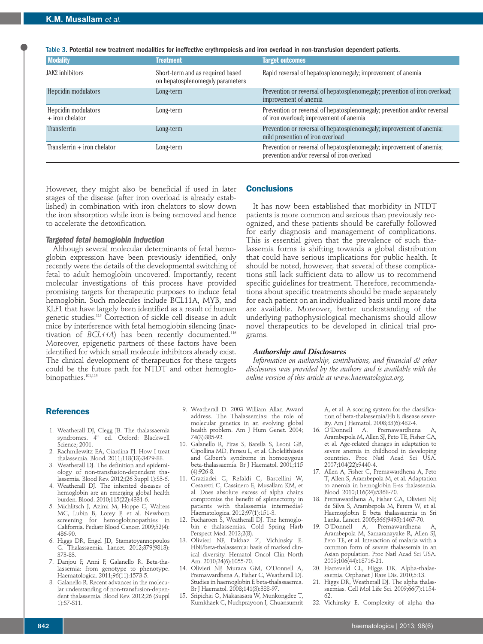Table 3. Potential new treatment modalities for ineffective erythropoiesis and iron overload in non-transfusion dependent patients.

| <b>Modality</b>                          | <b>Treatment</b>                                                     | <b>Target outcomes</b>                                                                                              |
|------------------------------------------|----------------------------------------------------------------------|---------------------------------------------------------------------------------------------------------------------|
| JAK2 inhibitors                          | Short-term and as required based<br>on hepatosplenomegaly parameters | Rapid reversal of hepatosplenomegaly; improvement of anemia                                                         |
| Hepcidin modulators                      | Long-term                                                            | Prevention or reversal of hepatosplenomegaly; prevention of iron overload;<br>improvement of anemia                 |
| Hepcidin modulators<br>$+$ iron chelator | Long-term                                                            | Prevention or reversal of hepatosplenomegaly; prevention and/or reversal<br>of iron overload; improvement of anemia |
| Transferrin                              | Long-term                                                            | Prevention or reversal of hepatosplenomegaly; improvement of anemia;<br>mild prevention of iron overload            |
| Transferrin $+$ iron chelator            | Long-term                                                            | Prevention or reversal of hepatosplenomegaly; improvement of anemia;<br>prevention and/or reversal of iron overload |

However, they might also be beneficial if used in later stages of the disease (after iron overload is already established) in combination with iron chelators to slow down the iron absorption while iron is being removed and hence to accelerate the detoxification.

## *Targeted fetal hemoglobin induction*

Although several molecular determinants of fetal hemoglobin expression have been previously identified, only recently were the details of the developmental switching of fetal to adult hemoglobin uncovered. Importantly, recent molecular investigations of this process have provided promising targets for therapeutic purposes to induce fetal hemoglobin. Such molecules include BCL11A, MYB, and KLF1 that have largely been identified as a result of human genetic studies.115 Correction of sickle cell disease in adult mice by interference with fetal hemoglobin silencing (inactivation of *BCL11A*) has been recently documented.<sup>116</sup> Moreover, epigenetic partners of these factors have been identified for which small molecule inhibitors already exist. The clinical development of therapeutics for these targets could be the future path for NTDT and other hemoglobinopathies.<sup>101,115</sup>

## **Conclusions**

It has now been established that morbidity in NTDT patients is more common and serious than previously recognized, and these patients should be carefully followed for early diagnosis and management of complications. This is essential given that the prevalence of such thalassemia forms is shifting towards a global distribution that could have serious implications for public health. It should be noted, however, that several of these complications still lack sufficient data to allow us to recommend specific guidelines for treatment. Therefore, recommendations about specific treatments should be made separately for each patient on an individualized basis until more data are available. Moreover, better understanding of the underlying pathophysiological mechanisms should allow novel therapeutics to be developed in clinical trial programs.

#### *Authorship and Disclosures*

*Information on authorship, contributions, and financial & other disclosures was provided by the authors and is available with the online version of this article at www.haematologica.org.*

## **References**

- 1. Weatherall DJ, Clegg JB. The thalassaemia syndromes. 4<sup>th</sup> ed. Oxford: Blackwell Science; 2001.
- 2. Rachmilewitz EA, Giardina PJ. How I treat thalassemia. Blood. 2011;118(13):3479-88.
- 3. Weatherall DJ. The definition and epidemiology of non-transfusion-dependent thalassemia. Blood Rev. 2012;(26 Suppl 1):S3-6.
- 4. Weatherall DJ. The inherited diseases of hemoglobin are an emerging global health burden. Blood. 2010;115(22):4331-6.
- 5. Michlitsch J, Azimi M, Hoppe C, Walters MC, Lubin B, Lorey F, et al. Newborn screening for hemoglobinopathies in California. Pediatr Blood Cancer. 2009;52(4): 486-90.
- 6. Higgs DR, Engel JD, Stamatoyannopoulos G. Thalassaemia. Lancet. 2012;379(9813): 373-83.
- 7. Danjou F, Anni F, Galanello R. Beta-thalassemia: from genotype to phenotype. Haematologica. 2011;96(11):1573-5.
- 8. Galanello R. Recent advances in the molecular understanding of non-transfusion-dependent thalassemia. Blood Rev. 2012;26 (Suppl 1):S7-S11.
- 9. Weatherall D. 2003 William Allan Award address. The Thalassemias: the role of molecular genetics in an evolving global health problem. Am J Hum Genet. 2004; 74(3):385-92.
- 10. Galanello R, Piras S, Barella S, Leoni GB, Cipollina MD, Perseu L, et al. Cholelithiasis and Gilbert's syndrome in homozygous beta-thalassaemia. Br J Haematol. 2001;115 (4):926-8.
- 11. Graziadei G, Refaldi C, Barcellini W, Cesaretti C, Cassinero E, Musallam KM, et al. Does absolute excess of alpha chains compromise the benefit of splenectomy in patients with thalassemia intermedia? .<br>Haematologica. 2012;97(1):151-3.
- 12. Fucharoen S, Weatherall DJ. The hemoglobin e thalassemias. Cold Spring Harb Perspect Med. 2012;2(8).
- 13. Olivieri NF, Pakbaz Z, Vichinsky E. HbE/beta-thalassemia: basis of marked clinical diversity. Hematol Oncol Clin North Am. 2010;24(6):1055-70.
- 14. Olivieri NF, Muraca GM, O'Donnell A, Premawardhena A, Fisher C, Weatherall DJ. Studies in haemoglobin E beta-thalassaemia. Br J Haematol. 2008;141(3):388-97.
- 15. Sripichai O, Makarasara W, Munkongdee T, Kumkhaek C, Nuchprayoon I, Chuansumrit

A, et al. A scoring system for the classification of beta-thalassemia/Hb E disease severity. Am J Hematol. 2008;83(6):482-4.

- 16. O'Donnell A, Premawardhena Arambepola M, Allen SJ, Peto TE, Fisher CA, et al. Age-related changes in adaptation to severe anemia in childhood in developing countries. Proc Natl Acad Sci USA. 2007;104(22):9440-4.
- 17. Allen A, Fisher C, Premawardhena A, Peto T, Allen S, Arambepola M, et al. Adaptation to anemia in hemoglobin E-ss thalassemia. Blood. 2010;116(24):5368-70.
- 18. Premawardhena A, Fisher CA, Olivieri NF, de Silva S, Arambepola M, Perera W, et al. Haemoglobin E beta thalassaemia in Sri Lanka. Lancet. 2005;366(9495):1467-70.
- 19. O'Donnell A, Premawardhena A, Arambepola M, Samaranayake R, Allen SJ, Peto TE, et al. Interaction of malaria with a common form of severe thalassemia in an Asian population. Proc Natl Acad Sci USA. 2009;106(44):18716-21.
- 20. Harteveld CL, Higgs DR. Alpha-thalassaemia. Orphanet J Rare Dis. 2010;5:13.
- 21. Higgs DR, Weatherall DJ. The alpha thalassaemias. Cell Mol Life Sci. 2009;66(7):1154- 62.
- 22. Vichinsky E. Complexity of alpha tha-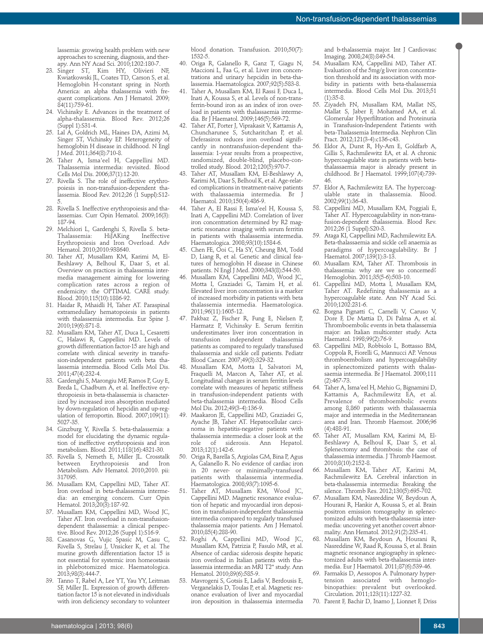lassemia: growing health problem with new approaches to screening, diagnosis, and therapy. Ann NY Acad Sci. 2010;1202:180-7.

- 23. Singer ST, Kim HY, Olivieri NF, Kwiatkowski JL, Coates TD, Carson S, et al. Hemoglobin H-constant spring in North America: an alpha thalassemia with frequent complications. Am J Hematol. 2009; 84(11):759-61.
- 24. Vichinsky E. Advances in the treatment of alpha-thalassemia. Blood Rev. 2012;26 (Suppl 1):S31-4.
- 25. Lal A, Goldrich ML, Haines DA, Azimi M, Singer ST, Vichinsky EP. Heterogeneity of hemoglobin H disease in childhood. N Engl J Med. 2011;364(8):710-8.
- 26. Taher A, Isma'eel H, Cappellini MD. Thalassemia intermedia: revisited. Blood Cells Mol Dis. 2006;37(1):12-20.
- 27. Rivella S. The role of ineffective erythropoiesis in non-transfusion-dependent thalassemia. Blood Rev. 2012;26 (1 Suppl):S12- 5.
- 28. Rivella S. Ineffective erythropoiesis and thalassemias. Curr Opin Hematol. 2009;16(3): 187-94.
- 29. Melchiori L, Gardenghi S, Rivella S. beta-Thalassemia: HiJAKing Ineffective Erythropoiesis and Iron Overload. Adv Hematol. 2010;2010:938640.
- 30. Taher AT, Musallam KM, Karimi M, El-Beshlawy A, Belhoul K, Daar S, et al. Overview on practices in thalassemia intermedia management aiming for lowering complication rates across a region of endemicity: the OPTIMAL CARE study. Blood. 2010;115(10):1886-92.
- 31. Haidar R, Mhaidli H, Taher AT. Paraspinal extramedullary hematopoiesis in patients with thalassemia intermedia. Eur Spine J. 2010;19(6):871-8.
- 32. Musallam KM, Taher AT, Duca L, Cesaretti C, Halawi R, Cappellini MD. Levels of growth differentiation factor-15 are high and correlate with clinical severity in transfusion-independent patients with beta thalassemia intermedia. Blood Cells Mol Dis. 2011;47(4):232-4.
- 33. Gardenghi S, Marongiu MF, Ramos P, Guy E, Breda L, Chadburn A, et al. Ineffective erythropoiesis in beta-thalassemia is characterized by increased iron absorption mediated by down-regulation of hepcidin and up-regulation of ferroportin. Blood. 2007;109(11): 5027-35.
- 34. Ginzburg Y, Rivella S. beta-thalassemia: a model for elucidating the dynamic regulation of ineffective erythropoiesis and iron metabolism. Blood. 2011;118(16):4321-30.
- 35. Rivella S, Nemeth E, Miller JL. Crosstalk Erythropoiesis Metabolism. Adv Hematol. 2010;2010. pii: 317095.
- 36. Musallam KM, Cappellini MD, Taher AT. Iron overload in beta-thalassemia intermedia: an emerging concern. Curr Opin Hematol. 2013;20(3):187-92.
- 37. Musallam KM, Cappellini MD, Wood JC, Taher AT. Iron overload in non-transfusiondependent thalassemia: a clinical perspective. Blood Rev. 2012;26 (Suppl 1):S16-9.
- 38. Casanovas G, Vujic Spasic M, Casu C, Rivella S, Strelau J, Unsicker K, et al. The murine growth differentiation factor 15 is not essential for systemic iron homeostasis in phlebotomized mice. Haematologica. 2013;98(3):444-7.
- 39. Tanno T, Rabel A, Lee YT, Yau YY, Leitman SF, Miller JL. Expression of growth differentiation factor 15 is not elevated in individuals with iron deficiency secondary to volunteer

blood donation. Transfusion. 2010;50(7): 1532-5.

- 40. Origa R, Galanello R, Ganz T, Giagu N, Maccioni L, Faa G, et al. Liver iron concentrations and urinary hepcidin in beta-thalassemia. Haematologica. 2007;92(5):583-8.
- 41. Taher A, Musallam KM, El Rassi F, Duca L, Inati A, Koussa S, et al. Levels of non-transferrin-bound iron as an index of iron overload in patients with thalassaemia intermedia. Br J Haematol. 2009;146(5):569-72.
- 42. Taher AT, Porter J, Viprakasit V, Kattamis A, Chuncharunee S, Sutcharitchan P, et al. Deferasirox reduces iron overload significantly in nontransfusion-dependent thalassemia: 1-year results from a prospective, randomized, double-blind, placebo-controlled study. Blood. 2012;120(5):970-7.
- 43. Taher AT, Musallam KM, El-Beshlawy A, Karimi M, Daar S, Belhoul K, et al. Age-related complications in treatment-naive patients with thalassaemia intermedia. Br J Haematol. 2010;150(4):486-9.
- 44. Taher A, El Rassi F, Isma'eel H, Koussa S, Inati A, Cappellini MD. Correlation of liver iron concentration determined by R2 magnetic resonance imaging with serum ferritin in patients with thalassemia intermedia. Haematologica. 2008;93(10):1584-6.
- 45. Chen FE, Ooi C, Ha SY, Cheung BM, Todd D, Liang R, et al. Genetic and clinical features of hemoglobin H disease in Chinese patients. N Engl J Med. 2000;343(8):544-50.
- 46. Musallam KM, Cappellini MD, Wood JC, Motta I, Graziadei G, Tamim H, et al. Elevated liver iron concentration is a marker of increased morbidity in patients with beta thalassemia intermedia. Haematologica. 2011;96(11):1605-12.
- 47. Pakbaz Z, Fischer R, Fung E, Nielsen P, Harmatz P, Vichinsky E. Serum ferritin underestimates liver iron concentration in transfusion independent thalassemia patients as compared to regularly transfused thalassemia and sickle cell patients. Pediatr Blood Cancer. 2007;49(3):329-32.
- 48. Musallam KM, Motta I, Salvatori M, Fraquelli M, Marcon A, Taher AT, et al. Longitudinal changes in serum ferritin levels correlate with measures of hepatic stiffness in transfusion-independent patients with beta-thalassemia intermedia. Blood Cells Mol Dis. 2012;49(3-4):136-9.
- 49. Maakaron JE, Cappellini MD, Graziadei G, Ayache JB, Taher AT. Hepatocellular carcinoma in hepatitis-negative patients with thalassemia intermedia: a closer look at the role of siderosis. Ann Hepatol. 2013;12(1):142-6.
- 50. Origa R, Barella S, Argiolas GM, Bina P, Agus A, Galanello R. No evidence of cardiac iron in 20 never- or minimally-transfused patients with thalassemia intermedia. Haematologica. 2008;93(7):1095-6.
- 51. Taher AT, Musallam KM, Wood JC, Cappellini MD. Magnetic resonance evaluation of hepatic and myocardial iron deposition in transfusion-independent thalassemia intermedia compared to regularly transfused thalassemia major patients. Am J Hematol. 2010;85(4):288-90.
- Roghi A, Cappellini MD, Wood JC, Musallam KM, Patrizia P, Fasulo MR, et al. Absence of cardiac siderosis despite hepatic iron overload in Italian patients with thalassemia intermedia: an MRI T2\* study. Ann Hematol. 2010;89(6):585-9.
- 53. Mavrogeni S, Gotsis E, Ladis V, Berdousis E, Verganelakis D, Toulas P, et al. Magnetic resonance evaluation of liver and myocardial iron deposition in thalassemia intermedia

and b-thalassemia major. Int J Cardiovasc Imaging. 2008;24(8):849-54.

- 54. Musallam KM, Cappellini MD, Taher AT. Evaluation of the 5mg/g liver iron concentration threshold and its association with morbidity in patients with beta-thalassemia intermedia. Blood Cells Mol Dis. 2013;51 (1):35-8.
- 55. Ziyadeh FN, Musallam KM, Mallat NS, Mallat S, Jaber F, Mohamed AA, et al. Glomerular Hyperfiltration and Proteinuria in Transfusion-Independent Patients with beta-Thalassemia Intermedia. Nephron Clin Pract. 2012;121(3-4):c136-c43.
- 56. Eldor A, Durst R, Hy-Am E, Goldfarb A, Gillis S, Rachmilewitz EA, et al. A chronic hypercoagulable state in patients with betathalassaemia major is already present in childhood. Br J Haematol. 1999;107(4):739- 46.
- 57. Eldor A, Rachmilewitz EA. The hypercoagulable state in thalassemia. Blood. 2002;99(1):36-43.
- 58. Cappellini MD, Musallam KM, Poggiali E, Taher AT. Hypercoagulability in non-transfusion-dependent thalassemia. Blood Rev. 2012;26 (1 Suppl):S20-3.
- 59. Ataga KI, Cappellini MD, Rachmilewitz EA. Beta-thalassaemia and sickle cell anaemia as paradigms of hypercoagulability. Br J Haematol. 2007;139(1):3-13.
- 60. Musallam KM, Taher AT. Thrombosis in thalassemia: why are we so concerned? Hemoglobin. 2011;35(5-6):503-10.
- 61. Cappellini MD, Motta I, Musallam KM, Taher AT. Redefining thalassemia as a hypercoagulable state. Ann NY Acad Sci. 2010;1202:231-6.
- 62. Borgna Pignatti C, Carnelli V, Caruso V, Dore F, De Mattia D, Di Palma A, et al. Thromboembolic events in beta thalassemia major: an Italian multicenter study. Acta Haematol. 1998;99(2):76-9.
- 63. Cappellini MD, Robbiolo L, Bottasso BM, Coppola R, Fiorelli G, Mannucci AP. Venous thromboembolism and hypercoagulability in splenectomized patients with thalassaemia intermedia. Br J Haematol. 2000;111 (2):467-73.
- 64. Taher A, Isma'eel H, Mehio G, Bignamini D, Kattamis A, Rachmilewitz EA, et al. Prevalence of thromboembolic events among 8,860 patients with thalassaemia major and intermedia in the Mediterranean area and Iran. Thromb Haemost. 2006;96 (4):488-91.
- 65. Taher AT, Musallam KM, Karimi M, El-Beshlawy A, Belhoul K, Daar S, et al. Splenectomy and thrombosis: the case of thalassemia intermedia. J Thromb Haemost. 2010;8(10):2152-8.
- 66. Musallam KM, Taher AT, Karimi M, Rachmilewitz EA. Cerebral infarction in beta-thalassemia intermedia: Breaking the silence. Thromb Res. 2012;130(5):695-702.
- 67. Musallam KM, Nasreddine W, Beydoun A, Hourani R, Hankir A, Koussa S, et al. Brain positron emission tomography in splenectomized adults with beta-thalassemia intermedia: uncovering yet another covert abnormality. Ann Hematol. 2012;91(2):235-41.
- 68. Musallam KM, Beydoun A, Hourani R, Nasreddine W, Raad R, Koussa S, et al. Brain magnetic resonance angiography in splenectomized adults with beta-thalassemia intermedia. Eur J Haematol. 2011;87(6):539-46.
- 69. Farmakis D, Aessopos A. Pulmonary hypertension associated with hemoglobinopathies: prevalent but overlooked. Circulation. 2011;123(11):1227-32.
- 70. Parent F, Bachir D, Inamo J, Lionnet F, Driss